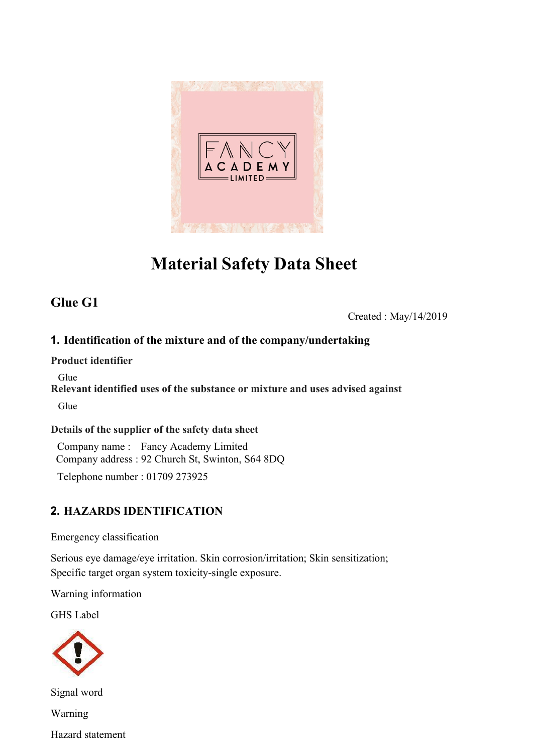

# **Material Safety Data Sheet**

# **Glue G1**

Created : May/14/2019

### **1. Identification of the mixture and of the company/undertaking**

#### **Product identifier**

Glue

**Relevant identified uses of the substance or mixture and uses advised against** Glue

### **Details of the supplier of the safety data sheet**

Company name : Fancy Academy Limited Company address : 92 Church St, Swinton, S64 8DQ

Telephone number : 01709 273925

### **2. HAZARDS IDENTIFICATION**

Emergency classification

Serious eye damage/eye irritation. Skin corrosion/irritation; Skin sensitization; Specific target organ system toxicity-single exposure.

Warning information

GHS Label



Signal word Warning Hazard statement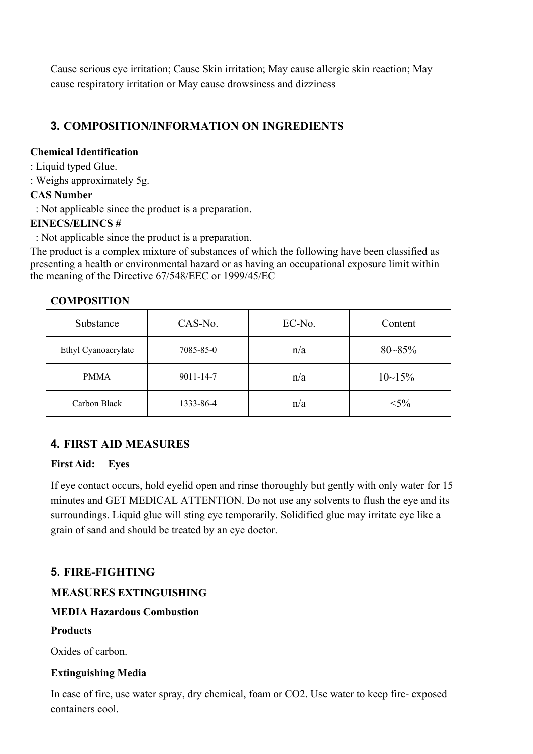Cause serious eye irritation; Cause Skin irritation; May cause allergic skin reaction; May cause respiratory irritation or May cause drowsiness and dizziness

### **3. COMPOSITION/INFORMATION ON INGREDIENTS**

#### **Chemical Identification**

- : Liquid typed Glue.
- : Weighs approximately 5g.

### **CAS Number**

: Not applicable since the product is a preparation.

#### **EINECS/ELINCS #**

: Not applicable since the product is a preparation.

The product is a complex mixture of substances of which the following have been classified as presenting a health or environmental hazard or as having an occupational exposure limit within the meaning of the Directive 67/548/EEC or 1999/45/EC

| Substance           | CAS-No.         | EC-No. | Content        |
|---------------------|-----------------|--------|----------------|
| Ethyl Cyanoacrylate | 7085-85-0       | n/a    | $80 - 85\%$    |
| <b>PMMA</b>         | $9011 - 14 - 7$ | n/a    | $10 \sim 15\%$ |
| Carbon Black        | 1333-86-4       | n/a    | $< 5\%$        |

#### **COMPOSITION**

### **4. FIRST AID MEASURES**

### **First Aid: Eyes**

If eye contact occurs, hold eyelid open and rinse thoroughly but gently with only water for 15 minutes and GET MEDICAL ATTENTION. Do not use any solvents to flush the eye and its surroundings. Liquid glue will sting eye temporarily. Solidified glue may irritate eye like a grain of sand and should be treated by an eye doctor.

### **5. FIRE-FIGHTING**

### **MEASURES EXTINGUISHING**

### **MEDIA Hazardous Combustion**

### **Products**

Oxides of carbon.

#### **Extinguishing Media**

In case of fire, use water spray, dry chemical, foam or CO2. Use water to keep fire- exposed containers cool.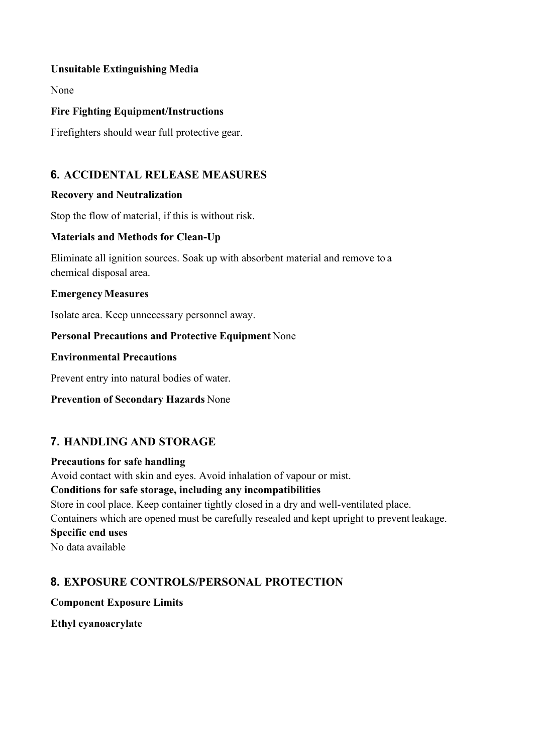#### **Unsuitable Extinguishing Media**

None

#### **Fire Fighting Equipment/Instructions**

Firefighters should wear full protective gear.

### **6. ACCIDENTAL RELEASE MEASURES**

### **Recovery and Neutralization**

Stop the flow of material, if this is without risk.

#### **Materials and Methods for Clean-Up**

Eliminate all ignition sources. Soak up with absorbent material and remove to a chemical disposal area.

#### **Emergency Measures**

Isolate area. Keep unnecessary personnel away.

#### **Personal Precautions and Protective Equipment** None

#### **Environmental Precautions**

Prevent entry into natural bodies of water.

#### **Prevention of Secondary Hazards** None

### **7. HANDLING AND STORAGE**

#### **Precautions for safe handling**

Avoid contact with skin and eyes. Avoid inhalation of vapour or mist.

#### **Conditions for safe storage, including any incompatibilities**

Store in cool place. Keep container tightly closed in a dry and well-ventilated place.

Containers which are opened must be carefully resealed and kept upright to prevent leakage.

# **Specific end uses**

No data available

### **8. EXPOSURE CONTROLS/PERSONAL PROTECTION**

**Component Exposure Limits** 

**Ethyl cyanoacrylate**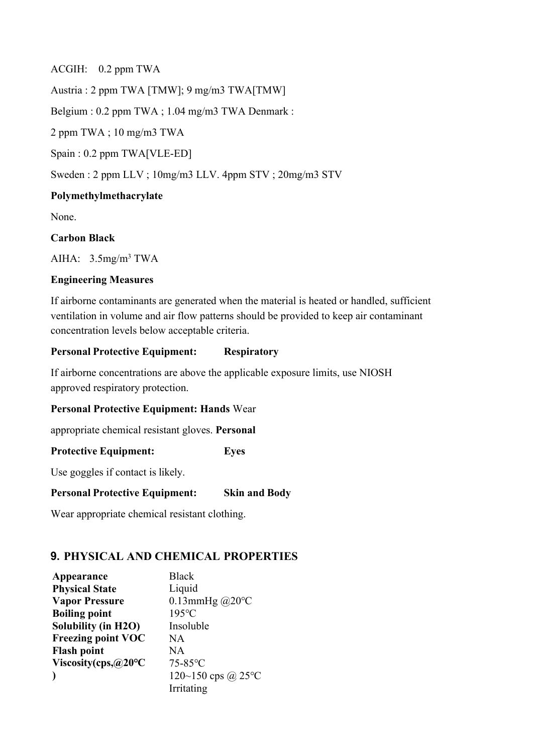ACGIH: 0.2 ppm TWA Austria : 2 ppm TWA [TMW]; 9 mg/m3 TWA[TMW] Belgium : 0.2 ppm TWA ; 1.04 mg/m3 TWA Denmark :

2 ppm TWA ; 10 mg/m3 TWA

Spain : 0.2 ppm TWA[VLE-ED]

Sweden : 2 ppm LLV ; 10mg/m3 LLV. 4ppm STV ; 20mg/m3 STV

#### **Polymethylmethacrylate**

None.

#### **Carbon Black**

AIHA:  $3.5$ mg/m<sup>3</sup> TWA

#### **Engineering Measures**

If airborne contaminants are generated when the material is heated or handled, sufficient ventilation in volume and air flow patterns should be provided to keep air contaminant concentration levels below acceptable criteria.

#### **Personal Protective Equipment: Respiratory**

If airborne concentrations are above the applicable exposure limits, use NIOSH approved respiratory protection.

#### **Personal Protective Equipment: Hands** Wear

appropriate chemical resistant gloves. **Personal** 

**Protective Equipment: Eyes** 

Use goggles if contact is likely.

#### **Personal Protective Equipment: Skin and Body**

Wear appropriate chemical resistant clothing.

### **9. PHYSICAL AND CHEMICAL PROPERTIES**

| Appearance                           | <b>Black</b>            |
|--------------------------------------|-------------------------|
| <b>Physical State</b>                | Liquid                  |
| <b>Vapor Pressure</b>                | 0.13mmHg $@20^{\circ}C$ |
| <b>Boiling point</b>                 | $195^{\circ}$ C         |
| <b>Solubility (in H2O)</b>           | Insoluble               |
| <b>Freezing point VOC</b>            | NA.                     |
| <b>Flash point</b>                   | NA.                     |
| Viscosity(cps, $@20^{\circ}\text{C}$ | $75-85$ °C              |
|                                      | 120~150 cps @ 25°C      |
|                                      | Irritating              |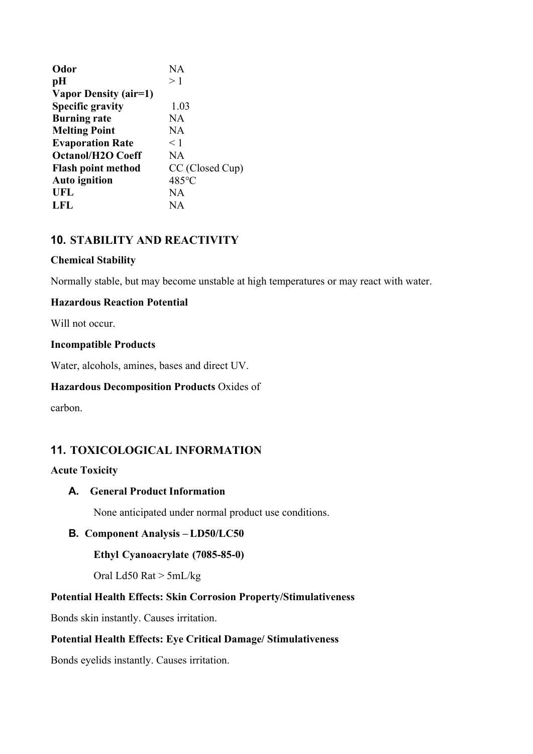| Odor                      | NA.             |
|---------------------------|-----------------|
| pH                        | >1              |
| Vapor Density (air=1)     |                 |
| <b>Specific gravity</b>   | 1.03            |
| <b>Burning rate</b>       | <b>NA</b>       |
| <b>Melting Point</b>      | NA              |
| <b>Evaporation Rate</b>   | $<$ 1           |
| <b>Octanol/H2O Coeff</b>  | NA.             |
| <b>Flash point method</b> | CC (Closed Cup) |
| <b>Auto ignition</b>      | 485°C           |
| UFL                       | NА              |
| LFL                       | NА              |

### **10. STABILITY AND REACTIVITY**

#### **Chemical Stability**

Normally stable, but may become unstable at high temperatures or may react with water.

#### **Hazardous Reaction Potential**

Will not occur.

#### **Incompatible Products**

Water, alcohols, amines, bases and direct UV.

#### **Hazardous Decomposition Products** Oxides of

carbon.

### **11. TOXICOLOGICAL INFORMATION**

#### **Acute Toxicity**

#### **A. General Product Information**

None anticipated under normal product use conditions.

#### **B. Component Analysis – LD50/LC50**

**Ethyl Cyanoacrylate (7085-85-0)** 

Oral Ld50 Rat > 5mL/kg

#### **Potential Health Effects: Skin Corrosion Property/Stimulativeness**

Bonds skin instantly. Causes irritation.

#### **Potential Health Effects: Eye Critical Damage/ Stimulativeness**

Bonds eyelids instantly. Causes irritation.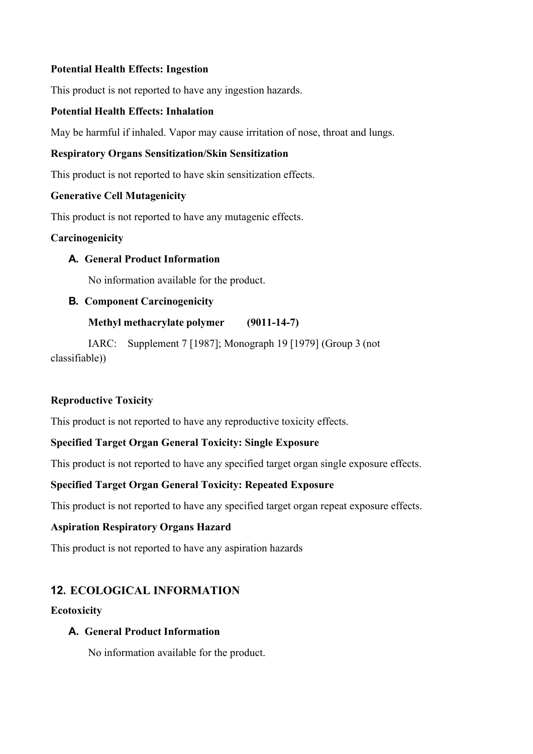#### **Potential Health Effects: Ingestion**

This product is not reported to have any ingestion hazards.

### **Potential Health Effects: Inhalation**

May be harmful if inhaled. Vapor may cause irritation of nose, throat and lungs.

### **Respiratory Organs Sensitization/Skin Sensitization**

This product is not reported to have skin sensitization effects.

#### **Generative Cell Mutagenicity**

This product is not reported to have any mutagenic effects.

#### **Carcinogenicity**

### **A. General Product Information**

No information available for the product.

### **B. Component Carcinogenicity**

### **Methyl methacrylate polymer (9011-14-7)**

IARC: Supplement 7 [1987]; Monograph 19 [1979] (Group 3 (not classifiable))

### **Reproductive Toxicity**

This product is not reported to have any reproductive toxicity effects.

### **Specified Target Organ General Toxicity: Single Exposure**

This product is not reported to have any specified target organ single exposure effects.

### **Specified Target Organ General Toxicity: Repeated Exposure**

This product is not reported to have any specified target organ repeat exposure effects.

#### **Aspiration Respiratory Organs Hazard**

This product is not reported to have any aspiration hazards

### **12. ECOLOGICAL INFORMATION**

#### **Ecotoxicity**

#### **A. General Product Information**

No information available for the product.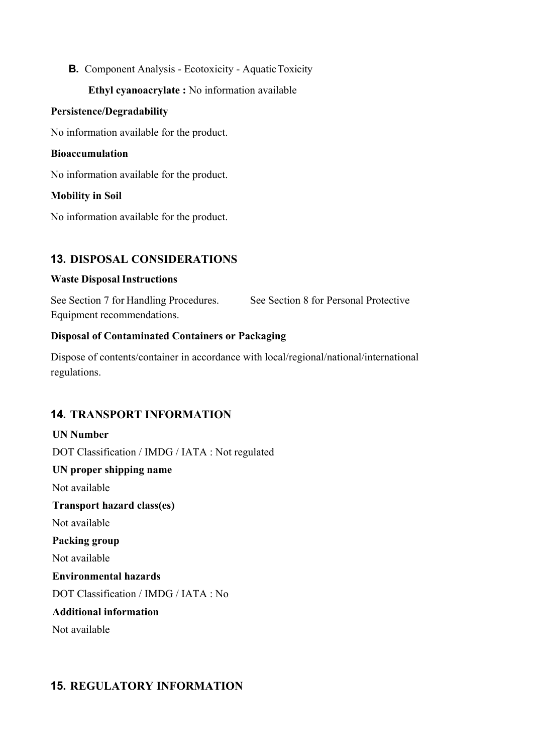### **B.** Component Analysis - Ecotoxicity - Aquatic Toxicity

#### **Ethyl cyanoacrylate :** No information available

#### **Persistence/Degradability**

No information available for the product.

#### **Bioaccumulation**

No information available for the product.

#### **Mobility in Soil**

No information available for the product.

### **13. DISPOSAL CONSIDERATIONS**

#### **Waste Disposal Instructions**

See Section 7 for Handling Procedures. See Section 8 for Personal Protective Equipment recommendations.

#### **Disposal of Contaminated Containers or Packaging**

Dispose of contents/container in accordance with local/regional/national/international regulations.

### **14. TRANSPORT INFORMATION**

# **UN Number** DOT Classification / IMDG / IATA : Not regulated **UN proper shipping name** Not available **Transport hazard class(es)** Not available **Packing group**  Not available **Environmental hazards** DOT Classification / IMDG / IATA : No **Additional information** Not available

### **15. REGULATORY INFORMATION**